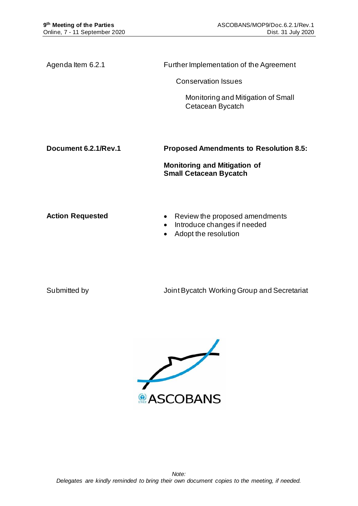Agenda Item 6.2.1 Further Implementation of the Agreement

Conservation Issues

Monitoring and Mitigation of Small Cetacean Bycatch

**Document 6.2.1/Rev.1 Proposed Amendments to Resolution 8.5:** 

**Monitoring and Mitigation of Small Cetacean Bycatch**

- Action Requested **•** Review the proposed amendments
	- Introduce changes if needed
	- Adopt the resolution

Submitted by **Submitted by Submitted by Submitted by Submitted by August** Joint Bycatch Working Group and Secretariat

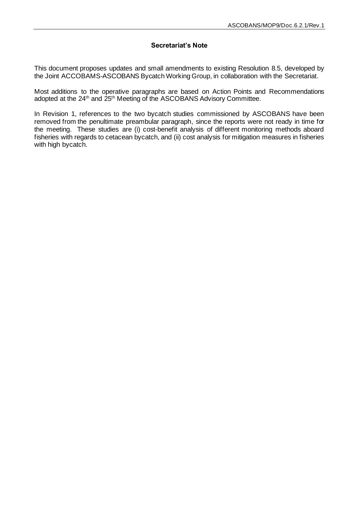#### **Secretariat's Note**

This document proposes updates and small amendments to existing Resolution 8.5, developed by the Joint ACCOBAMS-ASCOBANS Bycatch Working Group, in collaboration with the Secretariat.

Most additions to the operative paragraphs are based on Action Points and Recommendations adopted at the 24<sup>th</sup> and 25<sup>th</sup> Meeting of the ASCOBANS Advisory Committee.

In Revision 1, references to the two bycatch studies commissioned by ASCOBANS have been removed from the penultimate preambular paragraph, since the reports were not ready in time for the meeting. These studies are (i) cost-benefit analysis of different monitoring methods aboard fisheries with regards to cetacean bycatch, and (ii) cost analysis for mitigation measures in fisheries with high bycatch.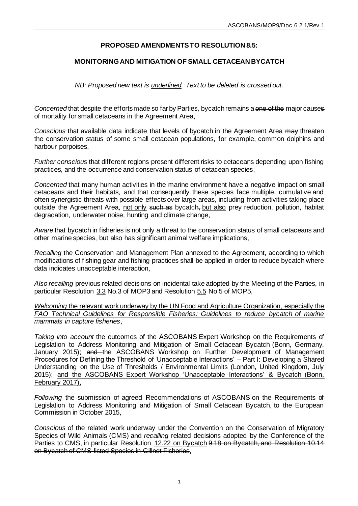# **PROPOSED AMENDMENTS TO RESOLUTION 8.5:**

## **MONITORING AND MITIGATION OF SMALL CETACEAN BYCATCH**

*NB: Proposed new text is underlined. Text to be deleted is crossed out.*

*Concerned* that despite the efforts made so far by Parties, bycatch remains a one of the major causes of mortality for small cetaceans in the Agreement Area,

*Conscious* that available data indicate that levels of bycatch in the Agreement Area may threaten the conservation status of some small cetacean populations, for example, common dolphins and harbour porpoises,

*Further conscious* that different regions present different risks to cetaceans depending upon fishing practices, and the occurrence and conservation status of cetacean species,

*Concerned* that many human activities in the marine environment have a negative impact on small cetaceans and their habitats, and that consequently these species face multiple, cumulative and often synergistic threats with possible effects over large areas, including from activities taking place outside the Agreement Area, not only such as bycatch, but also prey reduction, pollution, habitat degradation, underwater noise, hunting and climate change,

*Aware* that bycatch in fisheries is not only a threat to the conservation status of small cetaceans and other marine species, but also has significant animal welfare implications,

*Recalling* the Conservation and Management Plan annexed to the Agreement, according to which modifications of fishing gear and fishing practices shall be applied in order to reduce bycatch where data indicates unacceptable interaction,

*Also recalling* previous related decisions on incidental take adopted by the Meeting of the Parties, in particular Resolution 3.3 No.3 of MOP3 and Resolution 5.5 No.5 of MOP5,

*Welcoming* the relevant work underway by the UN Food and Agriculture Organization, especially the *FAO Technical Guidelines for Responsible Fisheries: Guidelines to reduce bycatch of marine mammals in capture fisheries*,

*Taking into account* the outcomes of the ASCOBANS Expert Workshop on the Requirements of Legislation to Address Monitoring and Mitigation of Small Cetacean Bycatch (Bonn, Germany, January 2015); and the ASCOBANS Workshop on Further Development of Management Procedures for Defining the Threshold of 'Unacceptable Interactions' – Part I: Developing a Shared Understanding on the Use of Thresholds / Environmental Limits (London, United Kingdom, July 2015); and the ASCOBANS Expert Workshop 'Unacceptable Interactions' & Bycatch (Bonn, February 2017),

*Following* the submission of agreed Recommendations of ASCOBANS on the Requirements of Legislation to Address Monitoring and Mitigation of Small Cetacean Bycatch, to the European Commission in October 2015,

*Conscious* of the related work underway under the Convention on the Conservation of Migratory Species of Wild Animals (CMS) and *recalling* related decisions adopted by the Conference of the Parties to CMS, in particular Resolution 12.22 on Bycatch 9.18 on Bycatch, and Resolution 10.14 on Bycatch of CMS-listed Species in Gillnet Fisheries,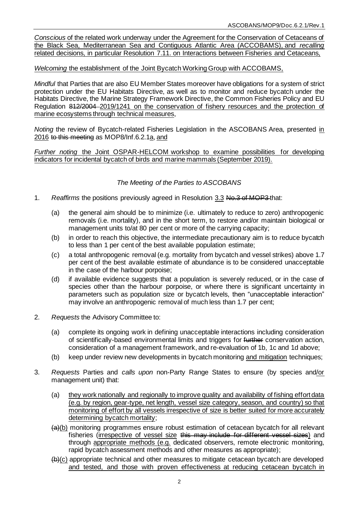*Conscious* of the related work underway under the Agreement for the Conservation of Cetaceans of the Black Sea, Mediterranean Sea and Contiguous Atlantic Area (ACCOBAMS), and *recalling*  related decisions, in particular Resolution 7.11. on Interactions between Fisheries and Cetaceans,

*Welcoming* the establishment of the Joint Bycatch Working Group with ACCOBAMS,

*Mindful* that Parties that are also EU Member States moreover have obligations for a system of strict protection under the EU Habitats Directive, as well as to monitor and reduce bycatch under the Habitats Directive, the Marine Strategy Framework Directive, the Common Fisheries Policy and EU Regulation 812/2004 2019/1241 on the conservation of fishery resources and the protection of marine ecosystems through technical measures,

*Noting* the review of Bycatch-related Fisheries Legislation in the ASCOBANS Area, presented in 2016 to this meeting as MOP8/Inf.6.2.1a, and

*Further noting* the Joint OSPAR-HELCOM workshop to examine possibilities for developing indicators for incidental bycatch of birds and marine mammals (September 2019).

### *The Meeting of the Parties to ASCOBANS*

- 1. *Reaffirms* the positions previously agreed in Resolution 3.3 No.3 of MOP3 that:
	- (a) the general aim should be to minimize (i.e. ultimately to reduce to zero) anthropogenic removals (i.e. mortality), and in the short term, to restore and/or maintain biological or management units to/at 80 per cent or more of the carrying capacity;
	- (b) in order to reach this objective, the intermediate precautionary aim is to reduce bycatch to less than 1 per cent of the best available population estimate;
	- (c) a total anthropogenic removal (e.g. mortality from bycatch and vessel strikes) above 1.7 per cent of the best available estimate of abundance is to be considered unacceptable in the case of the harbour porpoise;
	- (d) if available evidence suggests that a population is severely reduced, or in the case of species other than the harbour porpoise, or where there is significant uncertainty in parameters such as population size or bycatch levels, then "unacceptable interaction" may involve an anthropogenic removal of much less than 1.7 per cent;
- 2. *Requests* the Advisory Committee to:
	- (a) complete its ongoing work in defining unacceptable interactions including consideration of scientifically-based environmental limits and triggers for further conservation action, consideration of a management framework, and re-evaluation of 1b, 1c and 1d above;
	- (b) keep under review new developments in bycatch monitoring and mitigation techniques;
- 3. *Requests* Parties and *calls upon* non-Party Range States to ensure (by species and/or management unit) that:
	- (a) they work nationally and regionally to improve quality and availability of fishing effort data (e.g. by region, gear-type, net length, vessel size category, season, and country) so that monitoring of effort by all vessels irrespective of size is better suited for more accurately determining bycatch mortality;
	- (a)(b) monitoring programmes ensure robust estimation of cetacean bycatch for all relevant fisheries (irrespective of vessel size this may include for different vessel sizes) and through appropriate methods (e.g. dedicated observers, remote electronic monitoring, rapid bycatch assessment methods and other measures as appropriate);
	- (b)(c) appropriate technical and other measures to mitigate cetacean bycatch are developed and tested, and those with proven effectiveness at reducing cetacean bycatch in